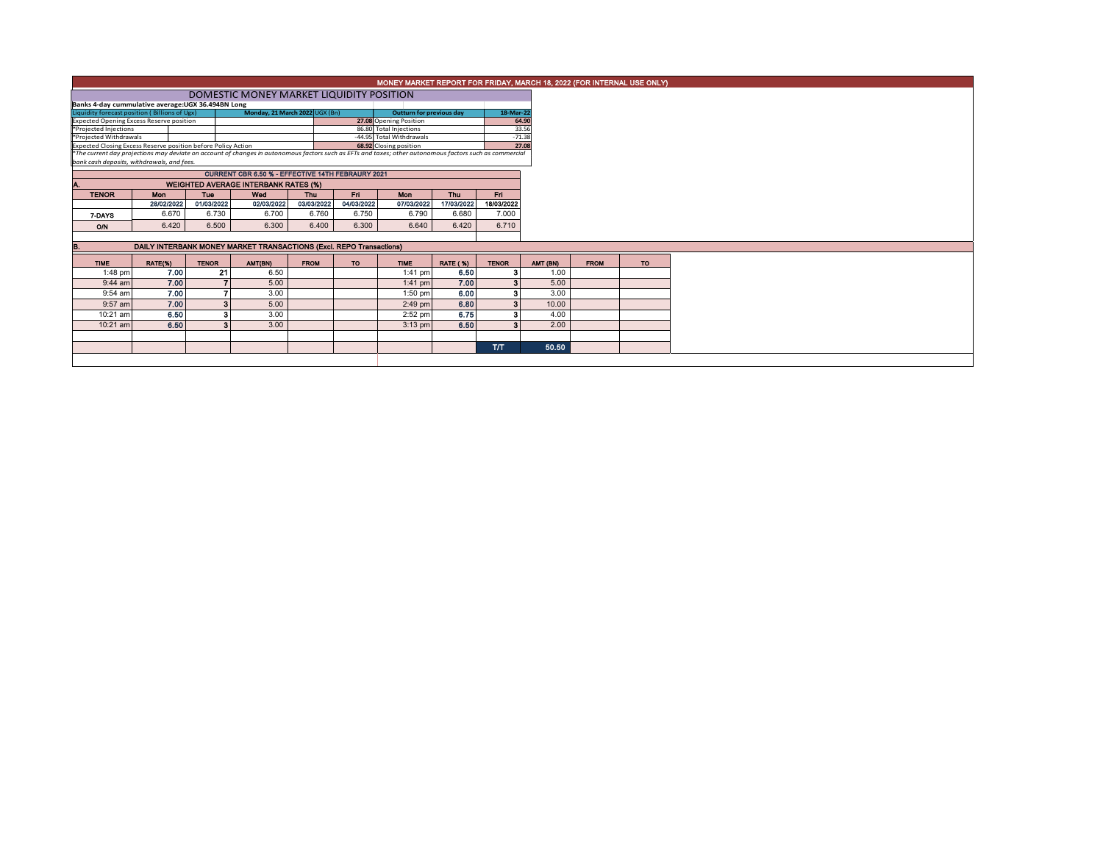|                                                                                                                                                                                                                           |                                                                     |                                                          | MONEY MARKET REPORT FOR FRIDAY, MARCH 18, 2022 (FOR INTERNAL USE ONLY) |             |            |                                                    |                 |                         |  |          |             |
|---------------------------------------------------------------------------------------------------------------------------------------------------------------------------------------------------------------------------|---------------------------------------------------------------------|----------------------------------------------------------|------------------------------------------------------------------------|-------------|------------|----------------------------------------------------|-----------------|-------------------------|--|----------|-------------|
|                                                                                                                                                                                                                           | DOMESTIC MONEY MARKET LIQUIDITY POSITION                            |                                                          |                                                                        |             |            |                                                    |                 |                         |  |          |             |
| Banks 4-day cummulative average: UGX 36.494BN Long                                                                                                                                                                        |                                                                     |                                                          |                                                                        |             |            |                                                    |                 |                         |  |          |             |
| Liquidity forecast position (Billions of Ugx)                                                                                                                                                                             |                                                                     |                                                          | 18-Mar-22                                                              |             |            |                                                    |                 |                         |  |          |             |
| <b>Expected Opening Excess Reserve position</b>                                                                                                                                                                           |                                                                     |                                                          | 64.90                                                                  |             |            |                                                    |                 |                         |  |          |             |
| *Projected Injections                                                                                                                                                                                                     |                                                                     |                                                          |                                                                        |             |            | 86.80 Total Injections                             |                 | 33.56                   |  |          |             |
| *Projected Withdrawals                                                                                                                                                                                                    |                                                                     |                                                          |                                                                        |             |            | -44.95 Total Withdrawals<br>68.92 Closing position |                 | $-71.38$<br>27.08       |  |          |             |
| Expected Closing Excess Reserve position before Policy Action<br>*The current day projections may deviate on account of changes in autonomous factors such as EFTs and taxes; other autonomous factors such as commercial |                                                                     |                                                          |                                                                        |             |            |                                                    |                 |                         |  |          |             |
| bank cash deposits, withdrawals, and fees.                                                                                                                                                                                |                                                                     |                                                          |                                                                        |             |            |                                                    |                 |                         |  |          |             |
|                                                                                                                                                                                                                           |                                                                     | <b>CURRENT CBR 6.50 % - EFFECTIVE 14TH FEBRAURY 2021</b> |                                                                        |             |            |                                                    |                 |                         |  |          |             |
|                                                                                                                                                                                                                           |                                                                     |                                                          |                                                                        |             |            |                                                    |                 |                         |  |          |             |
|                                                                                                                                                                                                                           |                                                                     | <b>WEIGHTED AVERAGE INTERBANK RATES (%)</b>              |                                                                        |             |            |                                                    |                 |                         |  |          |             |
| <b>TENOR</b>                                                                                                                                                                                                              | Mon                                                                 | <b>Tue</b>                                               | Wed                                                                    | <b>Thu</b>  | Fri        | <b>Mon</b>                                         | <b>Thu</b>      | Fri.                    |  |          |             |
|                                                                                                                                                                                                                           | 28/02/2022                                                          | 01/03/2022                                               | 02/03/2022                                                             | 03/03/2022  | 04/03/2022 | 07/03/2022                                         | 17/03/2022      | 18/03/2022              |  |          |             |
| 7-DAYS                                                                                                                                                                                                                    | 6.670                                                               | 6.730                                                    | 6.700                                                                  | 6.760       | 6.750      | 6.790                                              | 6.680           | 7.000                   |  |          |             |
| O/N                                                                                                                                                                                                                       | 6.420                                                               | 6.500                                                    | 6.300                                                                  | 6.400       | 6.300      | 6.640                                              | 6.420           | 6.710                   |  |          |             |
|                                                                                                                                                                                                                           |                                                                     |                                                          |                                                                        |             |            |                                                    |                 |                         |  |          |             |
|                                                                                                                                                                                                                           | DAILY INTERBANK MONEY MARKET TRANSACTIONS (Excl. REPO Transactions) |                                                          |                                                                        |             |            |                                                    |                 |                         |  |          |             |
| <b>TIME</b>                                                                                                                                                                                                               | RATE(%)                                                             | <b>TENOR</b>                                             | AMT(BN)                                                                | <b>FROM</b> | <b>TO</b>  | <b>TIME</b>                                        | <b>RATE (%)</b> | <b>TENOR</b>            |  | AMT (BN) | <b>FROM</b> |
| 1:48 pm                                                                                                                                                                                                                   | 7.00                                                                | 21                                                       | 6.50                                                                   |             |            | $1:41$ pm                                          | 6.50            |                         |  | 1.00     |             |
| $9:44$ am                                                                                                                                                                                                                 | 7.00                                                                |                                                          | 5.00                                                                   |             |            | $1:41$ pm                                          | 7.00            | 3                       |  | 5.00     |             |
| 9:54 am                                                                                                                                                                                                                   | 7.00                                                                |                                                          | 3.00                                                                   |             |            | $1:50$ pm                                          | 6.00            | 3                       |  | 3.00     |             |
| 9:57 am                                                                                                                                                                                                                   | 7.00                                                                | 3                                                        | 5.00                                                                   |             |            | $2:49$ pm                                          | 6.80            | $\overline{\mathbf{3}}$ |  | 10.00    |             |
| 10:21 am                                                                                                                                                                                                                  | 6.50                                                                | з                                                        | 3.00                                                                   |             |            | $2:52$ pm                                          | 6.75            | з                       |  | 4.00     |             |
|                                                                                                                                                                                                                           |                                                                     |                                                          |                                                                        |             |            |                                                    |                 |                         |  |          |             |
| 10:21 am                                                                                                                                                                                                                  | 6.50                                                                |                                                          | 3.00                                                                   |             |            | $3:13$ pm                                          | 6.50            | з                       |  | 2.00     |             |
|                                                                                                                                                                                                                           |                                                                     |                                                          |                                                                        |             |            |                                                    |                 |                         |  |          |             |
|                                                                                                                                                                                                                           |                                                                     |                                                          |                                                                        |             |            |                                                    |                 |                         |  |          |             |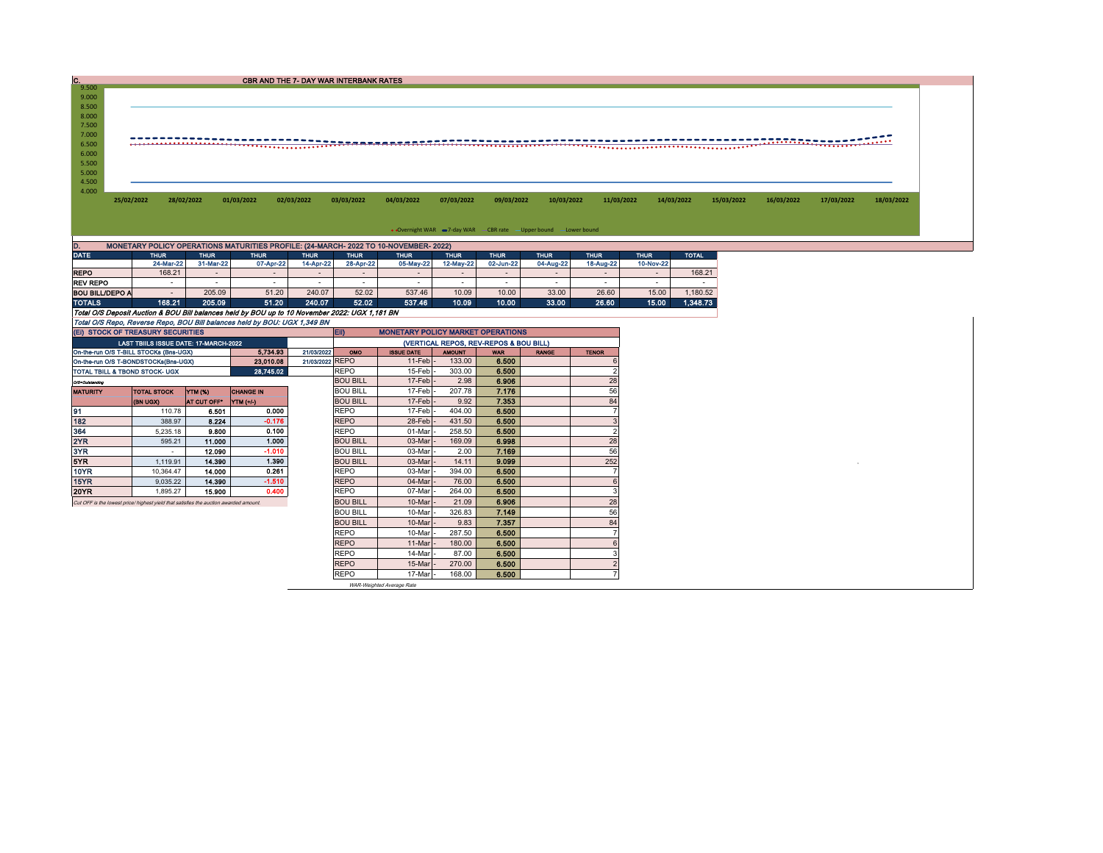| c.             |                                                                    |                                                                                      |            | CBR AND THE 7- DAY WAR INTERBANK RATES |            |            |            |            |            |            |            |            |            |            |            |
|----------------|--------------------------------------------------------------------|--------------------------------------------------------------------------------------|------------|----------------------------------------|------------|------------|------------|------------|------------|------------|------------|------------|------------|------------|------------|
| 9.500          |                                                                    |                                                                                      |            |                                        |            |            |            |            |            |            |            |            |            |            |            |
| 9.000          |                                                                    |                                                                                      |            |                                        |            |            |            |            |            |            |            |            |            |            |            |
| 8.500<br>8.000 |                                                                    |                                                                                      |            |                                        |            |            |            |            |            |            |            |            |            |            |            |
| 7.500          |                                                                    |                                                                                      |            |                                        |            |            |            |            |            |            |            |            |            |            |            |
| 7.000          |                                                                    |                                                                                      |            |                                        |            |            |            |            |            |            |            |            |            |            |            |
| 6.500          |                                                                    |                                                                                      |            |                                        |            |            |            |            |            |            |            |            |            |            |            |
| 6.000          |                                                                    |                                                                                      |            |                                        |            |            |            |            |            |            |            |            |            |            |            |
| 5.500          |                                                                    |                                                                                      |            |                                        |            |            |            |            |            |            |            |            |            |            |            |
| 5.000          |                                                                    |                                                                                      |            |                                        |            |            |            |            |            |            |            |            |            |            |            |
| 4.500          |                                                                    |                                                                                      |            |                                        |            |            |            |            |            |            |            |            |            |            |            |
| 4.000          |                                                                    |                                                                                      |            |                                        |            |            |            |            |            |            |            |            |            |            |            |
|                | 25/02/2022                                                         | 28/02/2022                                                                           | 01/03/2022 | 02/03/2022                             | 03/03/2022 | 04/03/2022 | 07/03/2022 | 09/03/2022 | 10/03/2022 | 11/03/2022 | 14/03/2022 | 15/03/2022 | 16/03/2022 | 17/03/2022 | 18/03/2022 |
|                |                                                                    |                                                                                      |            |                                        |            |            |            |            |            |            |            |            |            |            |            |
|                |                                                                    |                                                                                      |            |                                        |            |            |            |            |            |            |            |            |            |            |            |
|                |                                                                    |                                                                                      |            |                                        |            |            |            |            |            |            |            |            |            |            |            |
|                | • Overnight WAR = 7-day WAR - CBR rate - Upper bound - Lower bound |                                                                                      |            |                                        |            |            |            |            |            |            |            |            |            |            |            |
|                |                                                                    | MONETARY POLICY OPERATIONS MATURITIES PROFILE: (24-MARCH- 2022 TO 10-NOVEMBER- 2022) |            |                                        |            |            |            |            |            |            |            |            |            |            |            |

|                                                                                                | 24-Mar-22 | 31-Mar-22                | 07-Apr-22      | 14-Apr-22 | 28-Apr-22 | 05-May-22 | 12-May-22 | 02-Jun-22 | 04-Aug-22 | 18-Aug-22                | 10-Nov-22 |          |
|------------------------------------------------------------------------------------------------|-----------|--------------------------|----------------|-----------|-----------|-----------|-----------|-----------|-----------|--------------------------|-----------|----------|
| <b>REPO</b>                                                                                    | 168.21    | $\overline{\phantom{0}}$ | $\overline{a}$ | $\sim$    | -         |           |           |           |           | -                        | $\sim$    | 168.21   |
| <b>REV REPO</b>                                                                                |           | -                        |                |           |           | -         |           |           |           | $\overline{\phantom{a}}$ |           |          |
| <b>BOU BILL/DEPO A</b>                                                                         |           | 205.09                   | 51.20          | 240.07    | 52.02     | 537.46    | 10.09     | 10.00     | 33.00     | 26.60                    | 15.00     | 1.180.52 |
| <b>TOTALS</b>                                                                                  | 168.21    | 205.09                   | 51.20          | 240.07    | 52.02     | 537.46    | 10.09     | 10.00     | 33.00     | 26.60                    | 15.00     | 1.348.73 |
| Total O/S Deposit Auction & BOU Bill balances held by BOU up to 10 November 2022: UGX 1,181 BN |           |                          |                |           |           |           |           |           |           |                          |           |          |
| Total O/S Repo, Reverse Repo, BOU Bill balances held by BOU: UGX 1,349 BN                      |           |                          |                |           |           |           |           |           |           |                          |           |          |

| (EI) STOCK OF TREASURY SECURITIES                                                     |                                              |                    |                  |                 | <b>ED</b><br><b>MONETARY POLICY MARKET OPERATIONS</b> |                   |               |             |              |              |  |  |
|---------------------------------------------------------------------------------------|----------------------------------------------|--------------------|------------------|-----------------|-------------------------------------------------------|-------------------|---------------|-------------|--------------|--------------|--|--|
|                                                                                       | <b>LAST TBIILS ISSUE DATE: 17-MARCH-2022</b> |                    |                  |                 | (VERTICAL REPOS, REV-REPOS & BOU BILL)                |                   |               |             |              |              |  |  |
| On-the-run O/S T-BILL STOCKs (Bns-UGX)                                                |                                              |                    | 5.734.93         | 21/03/2022      | OMO                                                   | <b>ISSUE DATE</b> | <b>AMOUNT</b> | <b>WAR</b>  | <b>RANGE</b> | <b>TENOR</b> |  |  |
| On-the-run O/S T-BONDSTOCKs(Bns-UGX)                                                  |                                              |                    | 23.010.08        | 21/03/2022 REPO |                                                       | 11-Feb            | 133.00        | 6.500       |              |              |  |  |
| TOTAL TBILL & TBOND STOCK- UGX                                                        |                                              |                    | 28,745.02        |                 | <b>REPO</b>                                           | $15$ -Feb         | 303.00        | 6.500       |              |              |  |  |
| O/S=Outstanding                                                                       |                                              |                    |                  |                 | <b>BOU BILL</b>                                       | $17-Feb$          | 2.98          | 6.906       |              | 28           |  |  |
| <b>MATURITY</b>                                                                       | <b>TOTAL STOCK</b>                           | <b>YTM (%)</b>     | <b>CHANGE IN</b> |                 | <b>BOU BILL</b>                                       | 17-Feb -          | 207.78        | 7.176       |              | 56           |  |  |
|                                                                                       | <b>(BN UGX)</b>                              | <b>AT CUT OFF"</b> | <b>YTM</b> (+/-) |                 | <b>BOU BILL</b>                                       | $17-Feb$          | 9.92          | 7.353       |              | 84           |  |  |
| 91                                                                                    | 110.78                                       | 6.501              | 0.000            |                 | <b>REPO</b>                                           | 17-Feb            | 404.00        | 6.500       |              |              |  |  |
| 182                                                                                   | 388.97                                       | 8.224              | $-0.176$         |                 | <b>REPO</b>                                           | 28-Feb            | 431.50        | 6.500       |              |              |  |  |
| 364                                                                                   | 5.235.18                                     | 9.800              | 0.100            |                 | <b>REPO</b>                                           | 01-Mar            | 258.50        | 6.500       |              |              |  |  |
| 2YR                                                                                   | 595.21                                       | 11.000             | 1.000            |                 | <b>BOU BILL</b>                                       | 03-Mar            | 169.09        | 6.998       |              | 28           |  |  |
| 3YR                                                                                   | $\overline{\phantom{a}}$                     | 12.090             | $-1.010$         |                 | <b>BOU BILL</b>                                       | 03-Mar            | 2.00          | 7.169       |              | 56           |  |  |
| 5YR                                                                                   | 1.119.91                                     | 14.390             | 1.390            |                 | <b>BOU BILL</b>                                       | 03-Mar            | 14.11         | 9.099       |              | 252          |  |  |
| 10YR                                                                                  | 10.364.47                                    | 14.000             | 0.261            |                 | <b>REPO</b>                                           | 03-Mar            | 394.00        | 6.500       |              |              |  |  |
| 15YR                                                                                  | 9,035.22                                     | 14.390             | $-1.510$         |                 | <b>REPO</b>                                           | 04-Mar            | 76.00         | 6.500       |              |              |  |  |
| 20YR                                                                                  | 1.895.27                                     | 15.900             | 0.400            |                 | <b>REPO</b>                                           | 07-Mar            | 264.00        | 6.500       |              |              |  |  |
| Cut OFF is the lowest price/ highest yield that satisfies the auction awarded amount. |                                              |                    |                  |                 | <b>BOU BILL</b>                                       | 10-Mar            | 21.09         | 6.906       |              | 28           |  |  |
|                                                                                       |                                              |                    |                  |                 | <b>BOU BILL</b>                                       | 10-Mar            | 326.83        | 7.149       |              | 56           |  |  |
|                                                                                       |                                              |                    |                  |                 | <b>BOU BILL</b>                                       | 10-Mar            | 9.83          | 7.357       |              | 84           |  |  |
|                                                                                       |                                              |                    |                  |                 | <b>REPO</b>                                           | 10-Mar            | 287.50        | 6.500       |              |              |  |  |
|                                                                                       |                                              |                    |                  |                 | <b>REPO</b>                                           | 11-Mar            | 180.00        | 6.500       |              |              |  |  |
|                                                                                       |                                              |                    |                  |                 | <b>REPO</b>                                           | 14-Mar            | 87.00         | 6.500       |              |              |  |  |
|                                                                                       |                                              |                    |                  |                 | <b>REPO</b>                                           | 15-Mar            | 270.00        | 6.500       |              |              |  |  |
|                                                                                       |                                              |                    |                  |                 | <b>DEDA</b>                                           | $-1 - 1 - 1 - 1$  | 100.00        | <b>AFAA</b> |              |              |  |  |

REPO | 17-Mar |- 168.00 <mark>| 6.500</mark> | | | | |<br>WAR-Weighted Average Rate